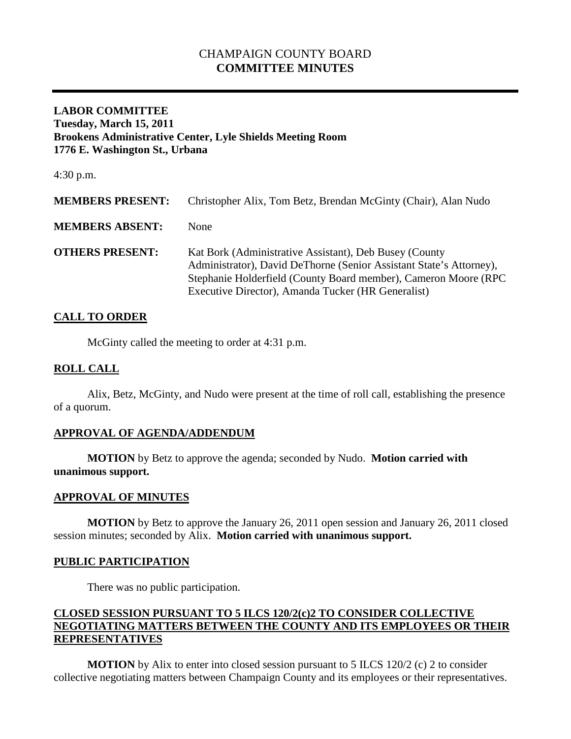# CHAMPAIGN COUNTY BOARD **COMMITTEE MINUTES**

## **LABOR COMMITTEE Tuesday, March 15, 2011 Brookens Administrative Center, Lyle Shields Meeting Room 1776 E. Washington St., Urbana**

4:30 p.m.

| <b>MEMBERS PRESENT:</b> | Christopher Alix, Tom Betz, Brendan McGinty (Chair), Alan Nudo                                                                                                                                                                                         |
|-------------------------|--------------------------------------------------------------------------------------------------------------------------------------------------------------------------------------------------------------------------------------------------------|
| <b>MEMBERS ABSENT:</b>  | None                                                                                                                                                                                                                                                   |
| <b>OTHERS PRESENT:</b>  | Kat Bork (Administrative Assistant), Deb Busey (County<br>Administrator), David DeThorne (Senior Assistant State's Attorney),<br>Stephanie Holderfield (County Board member), Cameron Moore (RPC<br>Executive Director), Amanda Tucker (HR Generalist) |

## **CALL TO ORDER**

McGinty called the meeting to order at 4:31 p.m.

#### **ROLL CALL**

Alix, Betz, McGinty, and Nudo were present at the time of roll call, establishing the presence of a quorum.

## **APPROVAL OF AGENDA/ADDENDUM**

**MOTION** by Betz to approve the agenda; seconded by Nudo. **Motion carried with unanimous support.**

## **APPROVAL OF MINUTES**

**MOTION** by Betz to approve the January 26, 2011 open session and January 26, 2011 closed session minutes; seconded by Alix. **Motion carried with unanimous support.**

## **PUBLIC PARTICIPATION**

There was no public participation.

## **CLOSED SESSION PURSUANT TO 5 ILCS 120/2(c)2 TO CONSIDER COLLECTIVE NEGOTIATING MATTERS BETWEEN THE COUNTY AND ITS EMPLOYEES OR THEIR REPRESENTATIVES**

**MOTION** by Alix to enter into closed session pursuant to 5 ILCS 120/2 (c) 2 to consider collective negotiating matters between Champaign County and its employees or their representatives.